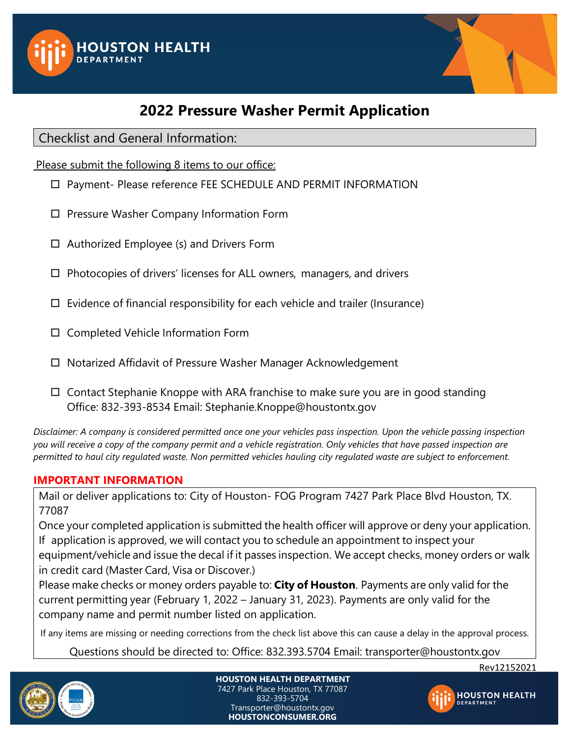



# **2022 Pressure Washer Permit Application**

Checklist and General Information:

Please submit the following 8 items to our office:

- Payment- Please reference FEE SCHEDULE AND PERMIT INFORMATION
- □ Pressure Washer Company Information Form
- $\Box$  Authorized Employee (s) and Drivers Form
- $\Box$  Photocopies of drivers' licenses for ALL owners, managers, and drivers
- $\Box$  Evidence of financial responsibility for each vehicle and trailer (Insurance)
- $\square$  Completed Vehicle Information Form
- □ Notarized Affidavit of Pressure Washer Manager Acknowledgement
- $\Box$  Contact Stephanie Knoppe with ARA franchise to make sure you are in good standing Office: 832-393-8534 Emai[l: Stephanie.Knoppe@houstontx.gov](mailto::%20Stephanie.Knoppe@houstontx.gov)

*Disclaimer: A company is considered permitted once one your vehicles pass inspection. Upon the vehicle passing inspection you will receive a copy of the company permit and a vehicle registration. Only vehicles that have passed inspection are permitted to haul city regulated waste. Non permitted vehicles hauling city regulated waste are subject to enforcement.* 

## **IMPORTANT INFORMATION**

Mail or deliver applications to: City of Houston- FOG Program 7427 Park Place Blvd Houston, TX. 77087

Once your completed application is submitted the health officer will approve or deny your application. If application is approved, we will contact you to schedule an appointment to inspect your equipment/vehicle and issue the decal if it passes inspection. We accept checks, money orders or walk in credit card (Master Card, Visa or Discover.)

Please make checks or money orders payable to: **City of Houston**. Payments are only valid for the current permitting year (February 1, 2022 – January 31, 2023). Payments are only valid for the company name and permit number listed on application.

If any items are missing or needing corrections from the check list above this can cause a delay in the approval process.

Questions should be directed to: Office: 832.393.5704 Email: transporter@houstontx.gov



**HOUSTON HEALTH DEPARTMENT** 7427 Park Place Houston, TX 77087 832-393-5704 Transporter@houstontx.gov **HOUSTONCONSUMER.ORG**

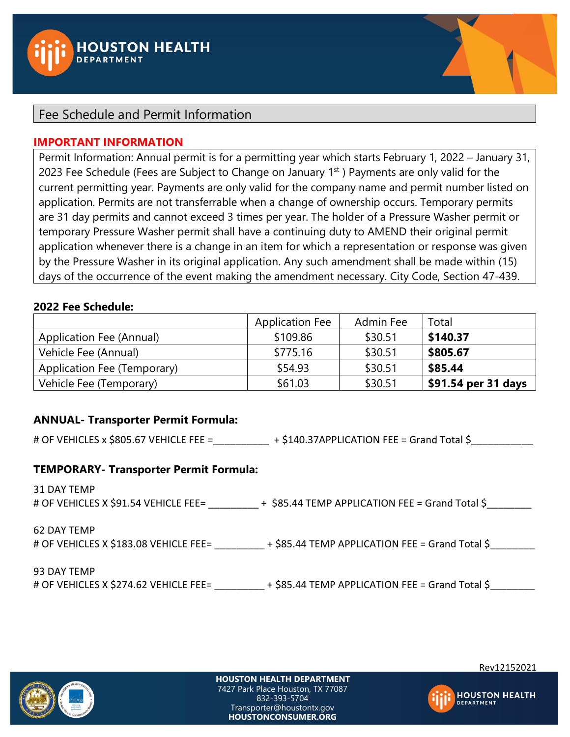

## Fee Schedule and Permit Information

#### **IMPORTANT INFORMATION**

Permit Information: Annual permit is for a permitting year which starts February 1, 2022 – January 31, 2023 Fee Schedule (Fees are Subject to Change on January  $1<sup>st</sup>$ ) Payments are only valid for the current permitting year. Payments are only valid for the company name and permit number listed on application. Permits are not transferrable when a change of ownership occurs. Temporary permits are 31 day permits and cannot exceed 3 times per year. The holder of a Pressure Washer permit or temporary Pressure Washer permit shall have a continuing duty to AMEND their original permit application whenever there is a change in an item for which a representation or response was given by the Pressure Washer in its original application. Any such amendment shall be made within (15) days of the occurrence of the event making the amendment necessary. City Code, Section 47-439.

#### **2022 Fee Schedule:**

|                             | <b>Application Fee</b> | Admin Fee | Total               |
|-----------------------------|------------------------|-----------|---------------------|
| Application Fee (Annual)    | \$109.86               | \$30.51   | \$140.37            |
| Vehicle Fee (Annual)        | \$775.16               | \$30.51   | \$805.67            |
| Application Fee (Temporary) | \$54.93                | \$30.51   | \$85.44             |
| Vehicle Fee (Temporary)     | \$61.03                | \$30.51   | \$91.54 per 31 days |

#### **ANNUAL- Transporter Permit Formula:**

# OF VEHICLES x \$805.67 VEHICLE FEE = <br>+ \$140.37APPLICATION FEE = Grand Total \$

#### **TEMPORARY- Transporter Permit Formula:**

31 DAY TEMP # OF VEHICLES X \$91.54 VEHICLE FEE= + \$85.44 TEMP APPLICATION FEE = Grand Total \$

62 DAY TEMP

# OF VEHICLES X \$183.08 VEHICLE FEE= \_\_\_\_\_\_\_\_\_ + \$85.44 TEMP APPLICATION FEE = Grand Total \$

93 DAY TEMP

# OF VEHICLES X \$274.62 VEHICLE FEE=  $+$  \$85.44 TEMP APPLICATION FEE = Grand Total \$



**HOUSTON HEALTH DEPARTMENT** 7427 Park Place Houston, TX 77087 832-393-5704 Transporter@houstontx.gov **HOUSTONCONSUMER.ORG**

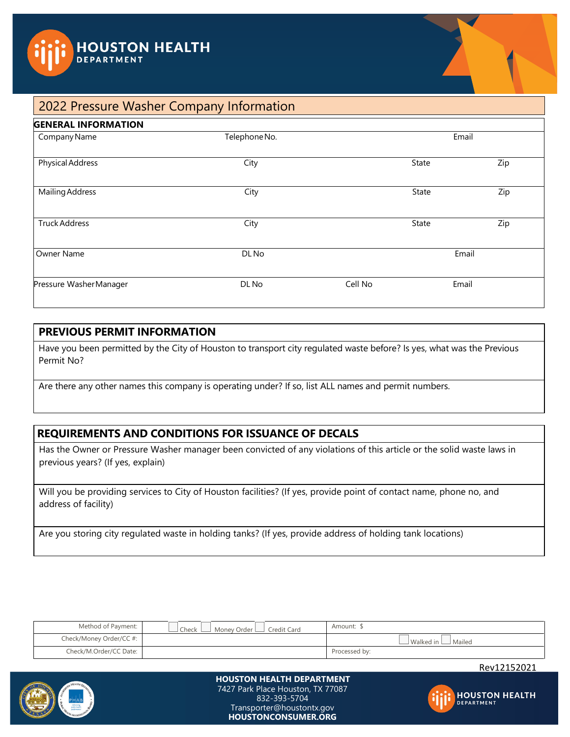



## 2022 Pressure Washer Company Information

| <b>GENERAL INFORMATION</b> |               |         |       |       |
|----------------------------|---------------|---------|-------|-------|
| Company Name               | Telephone No. |         |       | Email |
| <b>Physical Address</b>    | City          |         | State | Zip   |
| <b>Mailing Address</b>     | City          |         | State | Zip   |
| <b>Truck Address</b>       | City          |         | State | Zip   |
| Owner Name                 | DL No         | Email   |       |       |
| Pressure Washer Manager    | DL No         | Cell No |       | Email |

#### **PREVIOUS PERMIT INFORMATION**

Have you been permitted by the City of Houston to transport city regulated waste before? Is yes, what was the Previous Permit No?

Are there any other names this company is operating under? If so, list ALL names and permit numbers.

## **REQUIREMENTS AND CONDITIONS FOR ISSUANCE OF DECALS**

Has the Owner or Pressure Washer manager been convicted of any violations of this article or the solid waste laws in previous years? (If yes, explain)

Will you be providing services to City of Houston facilities? (If yes, provide point of contact name, phone no, and address of facility)

Are you storing city regulated waste in holding tanks? (If yes, provide address of holding tank locations)

| Method of Payment:      | $\Box$ Check $\Box$<br>Money Order Lack Credit Card | Amount:                        |
|-------------------------|-----------------------------------------------------|--------------------------------|
| Check/Money Order/CC #: |                                                     | $\Box$ Walked in $\Box$ Mailed |
| Check/M.Order/CC Date:  |                                                     | Processed by:                  |

Rev12152021



#### **HOUSTON HEALTH DEPARTMENT** 7427 Park Place Houston, TX 77087 832-393-5704 Transporter@houstontx.gov **HOUSTONCONSUMER.ORG**

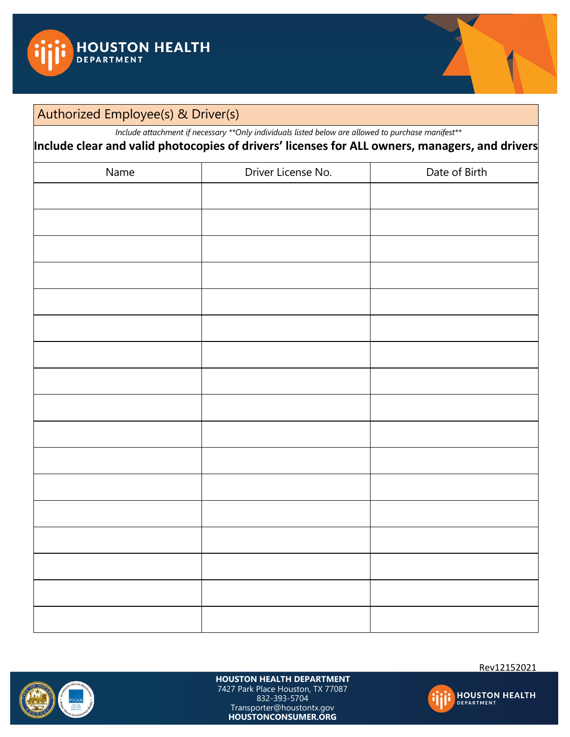



## Authorized Employee(s) & Driver(s)

*Include attachment if necessary \*\*Only individuals listed below are allowed to purchase manifest\*\**

**Include clear and valid photocopies of drivers' licenses for ALL owners, managers, and drivers** Name **Name Driver License No. Date of Birth** 



**HOUSTON HEALTH DEPARTMENT** 7427 Park Place Houston, TX 77087

832-393-5704 Transporter@houstontx.gov **HOUSTONCONSUMER.ORG**

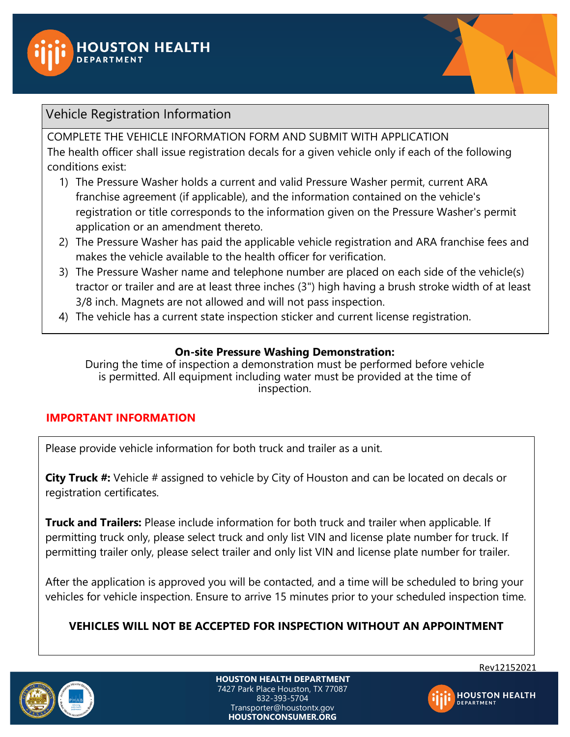



## Vehicle Registration Information

COMPLETE THE VEHICLE INFORMATION FORM AND SUBMIT WITH APPLICATION The health officer shall issue registration decals for a given vehicle only if each of the following conditions exist:

- 1) The Pressure Washer holds a current and valid Pressure Washer permit, current ARA franchise agreement (if applicable), and the information contained on the vehicle's registration or title corresponds to the information given on the Pressure Washer's permit application or an amendment thereto.
- 2) The Pressure Washer has paid the applicable vehicle registration and ARA franchise fees and makes the vehicle available to the health officer for verification.
- 3) The Pressure Washer name and telephone number are placed on each side of the vehicle(s) tractor or trailer and are at least three inches (3") high having a brush stroke width of at least 3/8 inch. Magnets are not allowed and will not pass inspection.
- 4) The vehicle has a current state inspection sticker and current license registration.

## **On-site Pressure Washing Demonstration:**

During the time of inspection a demonstration must be performed before vehicle is permitted. All equipment including water must be provided at the time of inspection.

## **IMPORTANT INFORMATION**

Please provide vehicle information for both truck and trailer as a unit.

**City Truck #:** Vehicle # assigned to vehicle by City of Houston and can be located on decals or registration certificates.

**Truck and Trailers:** Please include information for both truck and trailer when applicable. If permitting truck only, please select truck and only list VIN and license plate number for truck. If permitting trailer only, please select trailer and only list VIN and license plate number for trailer.

After the application is approved you will be contacted, and a time will be scheduled to bring your vehicles for vehicle inspection. Ensure to arrive 15 minutes prior to your scheduled inspection time.

## **VEHICLES WILL NOT BE ACCEPTED FOR INSPECTION WITHOUT AN APPOINTMENT**



**HOUSTON HEALTH DEPARTMENT** 7427 Park Place Houston, TX 77087 832-393-5704 Transporter@houstontx.gov **HOUSTONCONSUMER.ORG**



**HOUSTON HEALTH**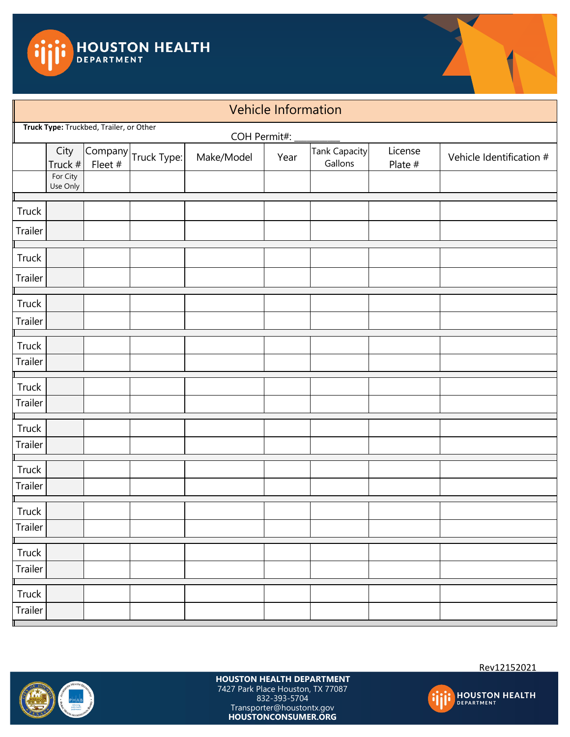



## Vehicle Information COH Permit#: City Truck # Company Company  $\begin{array}{|c|c|c|c|}\n\hline\n\text{Fleet } & \text{Truek Type:} & \text{Make/Model} & \text{Year} & \text{Tank Capacity} \\
\hline\n\end{array}$ Gallons License Plate  $\#$  Vehicle Identification  $\#$ For City Use Only **Truck** Trailer **Truck** Trailer **Truck** Trailer Truck Trailer **Truck** Trailer **Truck** Trailer Truck Trailer **Truck** Trailer **Truck** Trailer Truck Trailer **Truck Type:** Truckbed, Trailer, or Other



**HOUSTON HEALTH DEPARTMENT** 7427 Park Place Houston, TX 77087 832-393-5704 Transporter@houstontx.gov **HOUSTONCONSUMER.ORG**

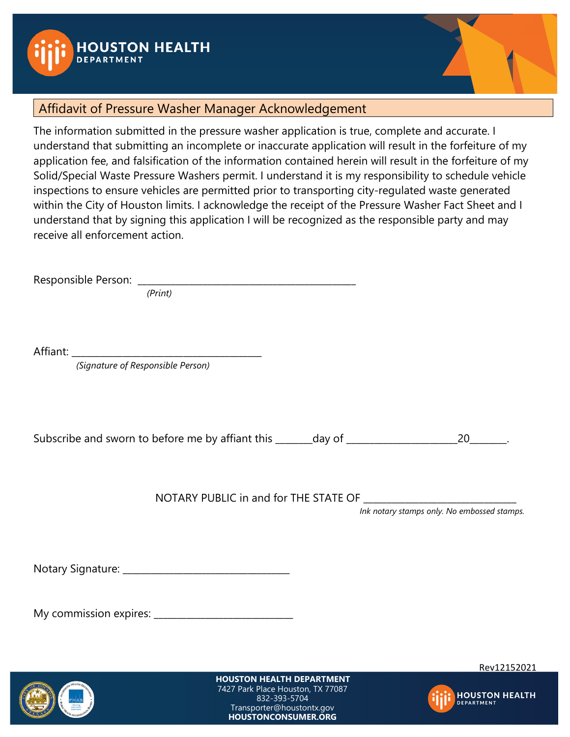



## Affidavit of Pressure Washer Manager Acknowledgement

The information submitted in the pressure washer application is true, complete and accurate. I understand that submitting an incomplete or inaccurate application will result in the forfeiture of my application fee, and falsification of the information contained herein will result in the forfeiture of my Solid/Special Waste Pressure Washers permit. I understand it is my responsibility to schedule vehicle inspections to ensure vehicles are permitted prior to transporting city-regulated waste generated within the City of Houston limits. I acknowledge the receipt of the Pressure Washer Fact Sheet and I understand that by signing this application I will be recognized as the responsible party and may receive all enforcement action.

Responsible Person: \_\_\_\_\_\_\_\_\_\_\_\_\_\_\_\_\_\_\_\_\_\_\_\_\_\_\_\_\_\_\_\_\_\_\_\_\_\_\_\_\_\_\_\_\_\_\_

 *(Print)*

Affiant: \_\_\_\_\_\_\_\_\_\_\_\_\_\_\_\_\_\_\_\_\_\_\_\_\_\_\_\_\_\_\_\_\_\_\_\_\_\_\_\_\_

*(Signature of Responsible Person)*

Subscribe and sworn to before me by affiant this \_\_\_\_\_\_\_\_day of \_\_\_\_\_\_\_\_\_\_\_\_\_\_\_\_\_\_\_\_\_\_\_\_20\_\_\_\_\_\_\_\_.

NOTARY PUBLIC in and for THE STATE OF

*Ink notary stamps only. No embossed stamps.*

Notary Signature: \_\_\_\_\_\_\_\_\_\_\_\_\_\_\_\_\_\_\_\_\_\_\_\_\_\_\_\_\_\_\_\_\_\_\_\_

My commission expires: \_\_\_\_\_\_\_\_\_\_\_\_\_\_\_\_\_\_\_\_\_\_\_\_\_\_\_\_\_\_



**HOUSTON HEALTH DEPARTMENT** 7427 Park Place Houston, TX 77087 832-393-5704 Transporter@houstontx.gov **HOUSTONCONSUMER.ORG**

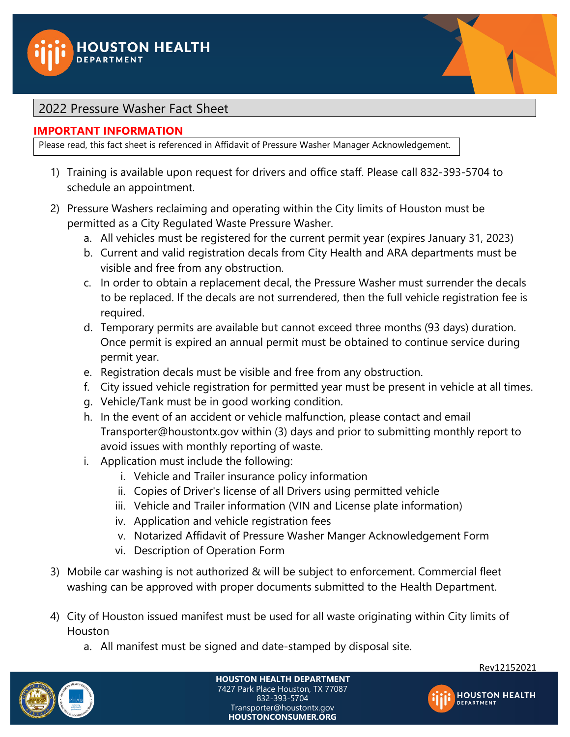



## 2022 Pressure Washer Fact Sheet

## **IMPORTANT INFORMATION**

Please read, this fact sheet is referenced in Affidavit of Pressure Washer Manager Acknowledgement.

- 1) Training is available upon request for drivers and office staff. Please call 832-393-5704 to schedule an appointment.
- 2) Pressure Washers reclaiming and operating within the City limits of Houston must be permitted as a City Regulated Waste Pressure Washer.
	- a. All vehicles must be registered for the current permit year (expires January 31, 2023)
	- b. Current and valid registration decals from City Health and ARA departments must be visible and free from any obstruction.
	- c. In order to obtain a replacement decal, the Pressure Washer must surrender the decals to be replaced. If the decals are not surrendered, then the full vehicle registration fee is required.
	- d. Temporary permits are available but cannot exceed three months (93 days) duration. Once permit is expired an annual permit must be obtained to continue service during permit year.
	- e. Registration decals must be visible and free from any obstruction.
	- f. City issued vehicle registration for permitted year must be present in vehicle at all times.
	- g. Vehicle/Tank must be in good working condition.
	- h. In the event of an accident or vehicle malfunction, please contact and email Transporter@houstontx.gov within (3) days and prior to submitting monthly report to avoid issues with monthly reporting of waste.
	- i. Application must include the following:
		- i. Vehicle and Trailer insurance policy information
		- ii. Copies of Driver's license of all Drivers using permitted vehicle
		- iii. Vehicle and Trailer information (VIN and License plate information)
		- iv. Application and vehicle registration fees
		- v. Notarized Affidavit of Pressure Washer Manger Acknowledgement Form
		- vi. Description of Operation Form
- 3) Mobile car washing is not authorized & will be subject to enforcement. Commercial fleet washing can be approved with proper documents submitted to the Health Department.
- 4) City of Houston issued manifest must be used for all waste originating within City limits of Houston
	- a. All manifest must be signed and date-stamped by disposal site.



**HOUSTON HEALTH DEPARTMENT** 7427 Park Place Houston, TX 77087 832-393-5704 Transporter@houstontx.gov **HOUSTONCONSUMER.ORG**



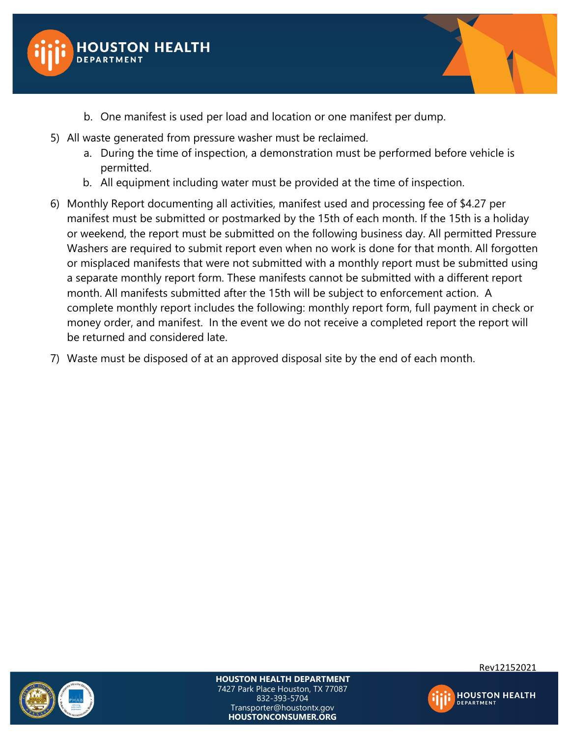



- b. One manifest is used per load and location or one manifest per dump.
- 5) All waste generated from pressure washer must be reclaimed.
	- a. During the time of inspection, a demonstration must be performed before vehicle is permitted.
	- b. All equipment including water must be provided at the time of inspection.
- 6) Monthly Report documenting all activities, manifest used and processing fee of \$4.27 per manifest must be submitted or postmarked by the 15th of each month. If the 15th is a holiday or weekend, the report must be submitted on the following business day. All permitted Pressure Washers are required to submit report even when no work is done for that month. All forgotten or misplaced manifests that were not submitted with a monthly report must be submitted using a separate monthly report form. These manifests cannot be submitted with a different report month. All manifests submitted after the 15th will be subject to enforcement action. A complete monthly report includes the following: monthly report form, full payment in check or money order, and manifest. In the event we do not receive a completed report the report will be returned and considered late.
- 7) Waste must be disposed of at an approved disposal site by the end of each month.



**HOUSTON HEALTH DEPARTMENT**

7427 Park Place Houston, TX 77087 832-393-5704 Transporter@houstontx.gov **HOUSTONCONSUMER.ORG**



Rev12152021

**HOUSTON HEALTH**